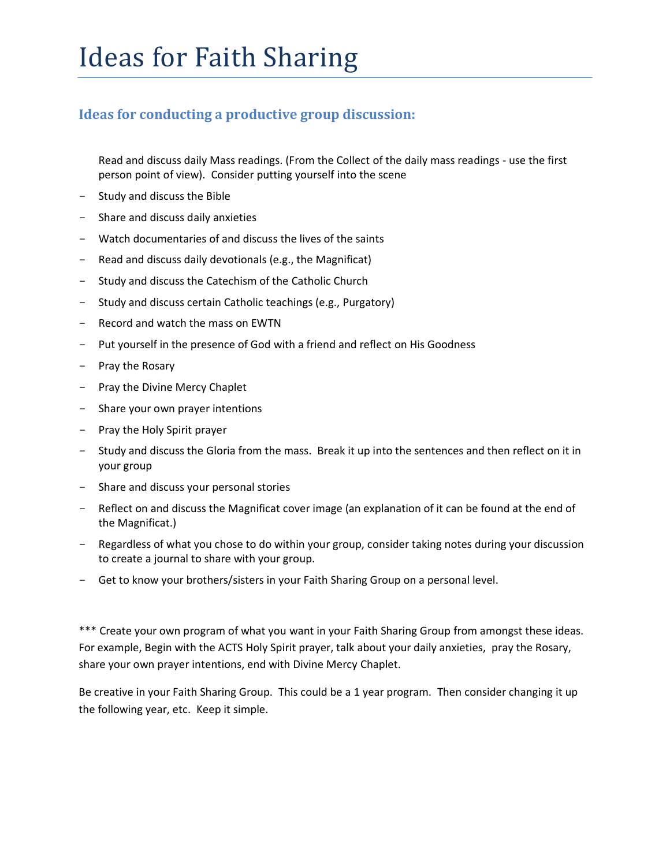#### **Ideas for conducting a productive group discussion:**

Read and discuss daily Mass readings. (From the Collect of the daily mass readings - use the first person point of view). Consider putting yourself into the scene

- Study and discuss the Bible
- Share and discuss daily anxieties
- Watch documentaries of and discuss the lives of the saints
- Read and discuss daily devotionals (e.g., the Magnificat)
- Study and discuss the Catechism of the Catholic Church
- Study and discuss certain Catholic teachings (e.g., Purgatory)
- Record and watch the mass on EWTN
- Put yourself in the presence of God with a friend and reflect on His Goodness
- Pray the Rosary
- Pray the Divine Mercy Chaplet
- Share your own prayer intentions
- Pray the Holy Spirit prayer
- Study and discuss the Gloria from the mass. Break it up into the sentences and then reflect on it in your group
- Share and discuss your personal stories
- Reflect on and discuss the Magnificat cover image (an explanation of it can be found at the end of the Magnificat.)
- Regardless of what you chose to do within your group, consider taking notes during your discussion to create a journal to share with your group.
- Get to know your brothers/sisters in your Faith Sharing Group on a personal level.

\*\*\* Create your own program of what you want in your Faith Sharing Group from amongst these ideas. For example, Begin with the ACTS Holy Spirit prayer, talk about your daily anxieties, pray the Rosary, share your own prayer intentions, end with Divine Mercy Chaplet.

Be creative in your Faith Sharing Group. This could be a 1 year program. Then consider changing it up the following year, etc. Keep it simple.